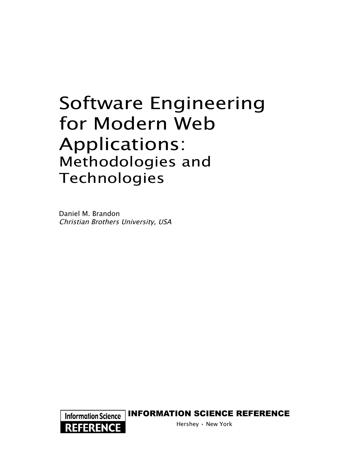# Software Engineering for Modern Web Applications: Methodologies and Technologies

Daniel M. Brandon Christian Brothers University, USA



INFORMATION SCIENCE REFERENCE

Hershey • New York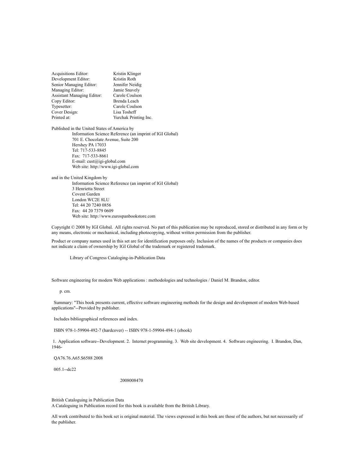| Acquisitions Editor:              | Kristin Klinger       |
|-----------------------------------|-----------------------|
| Development Editor:               | Kristin Roth          |
| Senior Managing Editor:           | Jennifer Neidig       |
| Managing Editor:                  | Jamie Snavely         |
| <b>Assistant Managing Editor:</b> | Carole Coulson        |
| Copy Editor:                      | Brenda Leach          |
| Typesetter:                       | Carole Coulson        |
| Cover Design:                     | Lisa Tosheff          |
| Printed at:                       | Yurchak Printing Inc. |

Published in the United States of America by Information Science Reference (an imprint of IGI Global) 701 E. Chocolate Avenue, Suite 200 Hershey PA 17033 Tel: 717-533-8845 Fax: 717-533-8661 E-mail: cust@igi-global.com Web site: http://www.igi-global.com

and in the United Kingdom by

Information Science Reference (an imprint of IGI Global) 3 Henrietta Street Covent Garden London WC2E 8LU Tel: 44 20 7240 0856 Fax: 44 20 7379 0609 Web site: http://www.eurospanbookstore.com

Copyright © 2008 by IGI Global. All rights reserved. No part of this publication may be reproduced, stored or distributed in any form or by any means, electronic or mechanical, including photocopying, without written permission from the publisher.

Product or company names used in this set are for identification purposes only. Inclusion of the names of the products or companies does not indicate a claim of ownership by IGI Global of the trademark or registered trademark.

Library of Congress Cataloging-in-Publication Data

Software engineering for modern Web applications : methodologies and technologies / Daniel M. Brandon, editor.

p. cm.

 Summary: "This book presents current, effective software engineering methods for the design and development of modern Web-based applications"--Provided by publisher.

Includes bibliographical references and index.

ISBN 978-1-59904-492-7 (hardcover) -- ISBN 978-1-59904-494-1 (ebook)

 1. Application software--Development. 2. Internet programming. 3. Web site development. 4. Software engineering. I. Brandon, Dan, 1946-

QA76.76.A65.S6588 2008

005.1--dc22

2008008470

British Cataloguing in Publication Data A Cataloguing in Publication record for this book is available from the British Library.

All work contributed to this book set is original material. The views expressed in this book are those of the authors, but not necessarily of the publisher.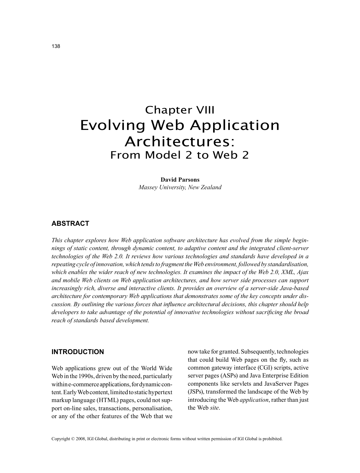# Chapter VIII Evolving Web Application Architectures: From Model 2 to Web 2

**David Parsons** *Massey University, New Zealand*

#### **ABSTRACT**

*This chapter explores how Web application software architecture has evolved from the simple beginnings of static content, through dynamic content, to adaptive content and the integrated client-server technologies of the Web 2.0. It reviews how various technologies and standards have developed in a repeating cycle of innovation, which tends to fragment the Web environment, followed by standardisation,*  which enables the wider reach of new technologies. It examines the impact of the Web 2.0, XML, Ajax *and mobile Web clients on Web application architectures, and how server side processes can support increasingly rich, diverse and interactive clients. It provides an overview of a server-side Java-based Duffaure for contemporary Web applications that demonstrates some of the key concepts under dis*cussion. By outlining the various forces that influence architectural decisions, this chapter should help developers to take advantage of the potential of innovative technologies without sacrificing the broad *reach of standards based development.*

#### **INTRODUCTION**

Web applications grew out of the World Wide Web in the 1990s, driven by the need, particularly within e-commerce applications, for dynamic content. Early Web content, limited to static hypertext markup language (HTML) pages, could not support on-line sales, transactions, personalisation, or any of the other features of the Web that we

now take for granted. Subsequently, technologies that could build Web pages on the fly, such as common gateway interface (CGI) scripts, active server pages (ASPs) and Java Enterprise Edition components like servlets and JavaServer Pages (JSPs), transformed the landscape of the Web by introducing the Web *application*, rather than just the Web *site*.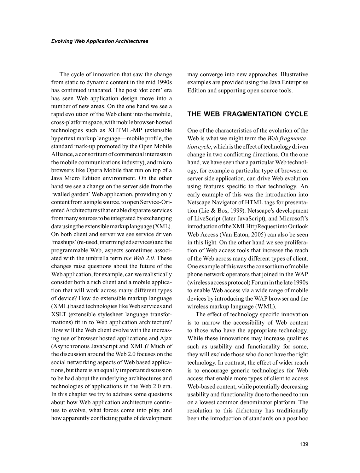The cycle of innovation that saw the change from static to dynamic content in the mid 1990s has continued unabated. The post 'dot com' era has seen Web application design move into a number of new areas. On the one hand we see a rapid evolution of the Web client into the mobile, cross-platform space, with mobile browser-hosted technologies such as XHTML-MP (extensible hypertext markup language—mobile profile, the standard mark-up promoted by the Open Mobile Alliance, a consortium of commercial interests in the mobile communications industry), and micro browsers like Opera Mobile that run on top of a Java Micro Edition environment. On the other hand we see a change on the server side from the 'walled garden' Web application, providing only content from a single source, to open Service-Oriented Architectures that enable disparate services from many sources to be integrated by exchanging data using the extensible markup language (XML). On both client and server we see service driven 'mashups' (re-used, intermingled services) and the programmable Web, aspects sometimes associated with the umbrella term *the Web 2.0*. These changes raise questions about the future of the Web application, for example, can we realistically consider both a rich client and a mobile application that will work across many different types of device? How do extensible markup language (XML) based technologies like Web services and XSLT (extensible stylesheet language transformations) fit in to Web application architecture? How will the Web client evolve with the increasing use of browser hosted applications and Ajax (Asynchronous JavaScript and XML)? Much of the discussion around the Web 2.0 focuses on the social networking aspects of Web based applications, but there is an equally important discussion to be had about the underlying architectures and technologies of applications in the Web 2.0 era. In this chapter we try to address some questions about how Web application architecture continues to evolve, what forces come into play, and how apparently conflicting paths of development may converge into new approaches. Illustrative examples are provided using the Java Enterprise Edition and supporting open source tools.

# **THE WEB FRAGMENTATION CYCLE**

One of the characteristics of the evolution of the Web is what we might term the *Web fragmentation cycle*, which is the effect of technology driven change in two conflicting directions. On the one hand, we have seen that a particular Web technology, for example a particular type of browser or server side application, can drive Web evolution using features specific to that technology. An early example of this was the introduction into Netscape Navigator of HTML tags for presentation (Lie & Bos, 1999). Netscape's development of LiveScript (later JavaScript), and Microsoft's introduction of the XMLHttpRequest into Outlook Web Access (Van Eaton, 2005) can also be seen in this light. On the other hand we see proliferation of Web access tools that increase the reach of the Web across many different types of client. One example of this was the consortium of mobile phone network operators that joined in the WAP (wireless access protocol) Forum in the late 1990s to enable Web access via a wide range of mobile devices by introducing the WAP browser and the wireless markup language (WML).

The effect of technology specific innovation is to narrow the accessibility of Web content to those who have the appropriate technology. While these innovations may increase qualities such as usability and functionality for some, they will exclude those who do not have the right technology. In contrast, the effect of wider reach is to encourage generic technologies for Web access that enable more types of client to access Web-based content, while potentially decreasing usability and functionality due to the need to run on a lowest common denominator platform. The resolution to this dichotomy has traditionally been the introduction of standards on a post hoc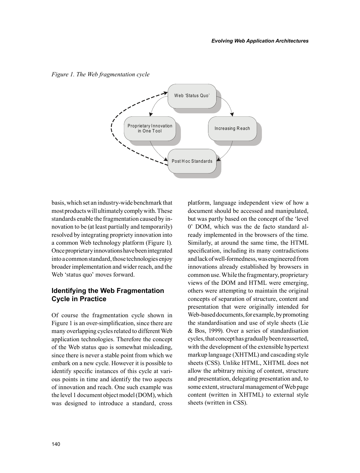

*Figure 1. The Web fragmentation cycle*

basis, which set an industry-wide benchmark that most products will ultimately comply with. These standards enable the fragmentation caused by innovation to be (at least partially and temporarily) resolved by integrating propriety innovation into a common Web technology platform (Figure 1). Once proprietary innovations have been integrated into a common standard, those technologies enjoy broader implementation and wider reach, and the Web 'status quo' moves forward.

# **Identifying the Web Fragmentation Cycle in Practice**

Of course the fragmentation cycle shown in Figure 1 is an over-simplification, since there are many overlapping cycles related to different Web application technologies. Therefore the concept of the Web status quo is somewhat misleading, since there is never a stable point from which we embark on a new cycle. However it is possible to identify specific instances of this cycle at various points in time and identify the two aspects of innovation and reach. One such example was the level 1 document object model (DOM), which was designed to introduce a standard, cross platform, language independent view of how a document should be accessed and manipulated, but was partly based on the concept of the 'level 0' DOM, which was the de facto standard already implemented in the browsers of the time. Similarly, at around the same time, the HTML specification, including its many contradictions and lack of well-formedness, was engineered from innovations already established by browsers in common use. While the fragmentary, proprietary views of the DOM and HTML were emerging, others were attempting to maintain the original concepts of separation of structure, content and presentation that were originally intended for Web-based documents, for example, by promoting the standardisation and use of style sheets (Lie  $&$  Bos, 1999). Over a series of standardisation cycles, that concept has gradually been reasserted, with the development of the extensible hypertext markup language (XHTML) and cascading style sheets (CSS). Unlike HTML, XHTML does not allow the arbitrary mixing of content, structure and presentation, delegating presentation and, to some extent, structural management of Web page content (written in XHTML) to external style sheets (written in CSS).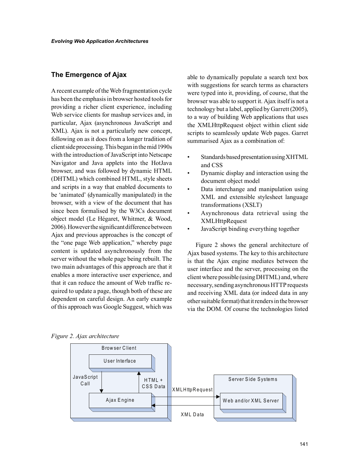#### **The Emergence of Ajax**

A recent example of the Web fragmentation cycle has been the emphasis in browser hosted tools for providing a richer client experience, including Web service clients for mashup services and, in particular, Ajax (asynchronous JavaScript and XML). Ajax is not a particularly new concept, following on as it does from a longer tradition of client side processing. This began in the mid 1990s with the introduction of JavaScript into Netscape Navigator and Java applets into the HotJava browser, and was followed by dynamic HTML (DHTML) which combined HTML, style sheets and scripts in a way that enabled documents to be 'animated' (dynamically manipulated) in the browser, with a view of the document that has since been formalised by the W3Cs document object model (Le Hégaret, Whitmer, & Wood, 2006). However the significant difference between Ajax and previous approaches is the concept of the "one page Web application," whereby page content is updated asynchronously from the server without the whole page being rebuilt. The two main advantages of this approach are that it enables a more interactive user experience, and that it can reduce the amount of Web traffic required to update a page, though both of these are dependent on careful design. An early example of this approach was Google Suggest, which was

able to dynamically populate a search text box with suggestions for search terms as characters were typed into it, providing, of course, that the browser was able to support it. Ajax itself is not a technology but a label, applied by Garrett (2005), to a way of building Web applications that uses the XMLHttpRequest object within client side scripts to seamlessly update Web pages. Garret summarised Ajax as a combination of:

- Standards based presentation using XHTML and CSS
- Dynamic display and interaction using the document object model
- Data interchange and manipulation using XML and extensible stylesheet language transformations (XSLT)
- Asynchronous data retrieval using the XMLHttpRequest
- JavaScript binding everything together

Figure 2 shows the general architecture of Ajax based systems. The key to this architecture is that the Ajax engine mediates between the user interface and the server, processing on the client where possible (using DHTML) and, where necessary, sending asynchronous HTTP requests and receiving XML data (or indeed data in any other suitable format) that it renders in the browser via the DOM. Of course the technologies listed

*Figure 2. Ajax architecture* 

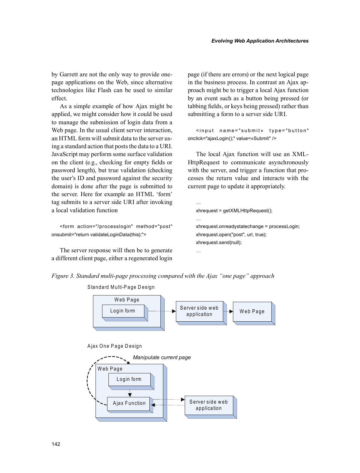by Garrett are not the only way to provide onepage applications on the Web, since alternative technologies like Flash can be used to similar effect.

As a simple example of how Ajax might be applied, we might consider how it could be used to manage the submission of login data from a Web page. In the usual client server interaction, an HTML form will submit data to the server using a standard action that posts the data to a URI. JavaScript may perform some surface validation on the client (e.g., checking for empty fields or password length), but true validation (checking the user's ID and password against the security domain) is done after the page is submitted to the server. Here for example an HTML 'form' tag submits to a server side URI after invoking a local validation function

<form action="/processlogin" method="post" onsubmit="return validateLoginData(this);">

The server response will then be to generate a different client page, either a regenerated login

page (if there are errors) or the next logical page in the business process. In contrast an Ajax approach might be to trigger a local Ajax function by an event such as a button being pressed (or tabbing fields, or keys being pressed) rather than submitting a form to a server side URI.

<input name="submit» type="button" onclick="ajaxLogin();" value=»Submit" />

The local Ajax function will use an XML-HttpRequest to communicate asynchronously with the server, and trigger a function that processes the return value and interacts with the current page to update it appropriately.

```
…
xhrequest = getXMLHttpRequest();
…
xhrequest.onreadystatechange = processLogin;
xhrequest.open("post", url, true);
xhrequest.send(null);
…
```

| Figure 3. Standard multi-page processing compared with the Ajax "one page" approach |  |  |  |  |
|-------------------------------------------------------------------------------------|--|--|--|--|
|-------------------------------------------------------------------------------------|--|--|--|--|

Standard Multi-Page Design



Ajax One Page Design

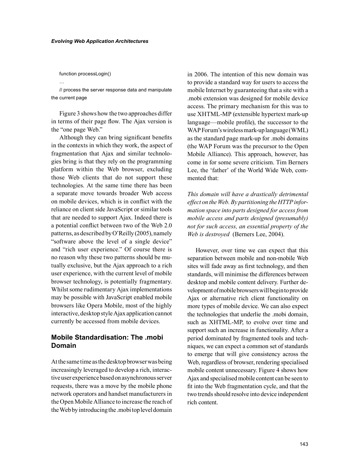function processLogin()

…

// process the server response data and manipulate the current page

Figure 3 shows how the two approaches differ in terms of their page flow. The Ajax version is the "one page Web."

Although they can bring significant benefits in the contexts in which they work, the aspect of fragmentation that Ajax and similar technologies bring is that they rely on the programming platform within the Web browser, excluding those Web clients that do not support these technologies. At the same time there has been a separate move towards broader Web access on mobile devices, which is in conflict with the reliance on client side JavaScript or similar tools that are needed to support Ajax. Indeed there is a potential conflict between two of the Web 2.0 patterns, as described by O'Reilly (2005), namely "software above the level of a single device" and "rich user experience." Of course there is no reason why these two patterns should be mutually exclusive, but the Ajax approach to a rich user experience, with the current level of mobile browser technology, is potentially fragmentary. Whilst some rudimentary Ajax implementations may be possible with JavaScript enabled mobile browsers like Opera Mobile, most of the highly interactive, desktop style Ajax application cannot currently be accessed from mobile devices.

# **Mobile Standardisation: The .mobi Domain**

At the same time as the desktop browser was being increasingly leveraged to develop a rich, interactive user experience based on asynchronous server requests, there was a move by the mobile phone network operators and handset manufacturers in the Open Mobile Alliance to increase the reach of the Web by introducing the .mobi top level domain in 2006. The intention of this new domain was to provide a standard way for users to access the mobile Internet by guaranteeing that a site with a .mobi extension was designed for mobile device access. The primary mechanism for this was to use XHTML-MP (extensible hypertext mark-up language—mobile profile), the successor to the WAP Forum's wireless mark-up language (WML) as the standard page mark-up for .mobi domains (the WAP Forum was the precursor to the Open Mobile Alliance). This approach, however, has come in for some severe criticism. Tim Berners Lee, the 'father' of the World Wide Web, commented that:

*This domain will have a drastically detrimental effect on the Web. By partitioning the HTTP information space into parts designed for access from mobile access and parts designed (presumably) not for such access, an essential property of the Web is destroyed* (Berners Lee, 2004).

However, over time we can expect that this separation between mobile and non-mobile Web sites will fade away as first technology, and then standards, will minimise the differences between desktop and mobile content delivery. Further development of mobile browsers will begin to provide Ajax or alternative rich client functionality on more types of mobile device. We can also expect the technologies that underlie the .mobi domain, such as XHTML-MP, to evolve over time and support such an increase in functionality. After a period dominated by fragmented tools and techniques, we can expect a common set of standards to emerge that will give consistency across the Web, regardless of browser, rendering specialised mobile content unnecessary. Figure 4 shows how Ajax and specialised mobile content can be seen to fit into the Web fragmentation cycle, and that the two trends should resolve into device independent rich content.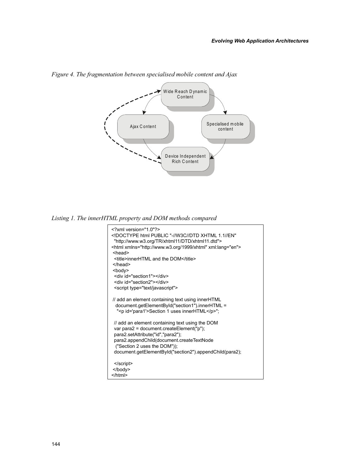

Figure 4. The fragmentation between specialised mobile content and Ajax

*Listing 1. The innerHTML property and DOM methods compared*

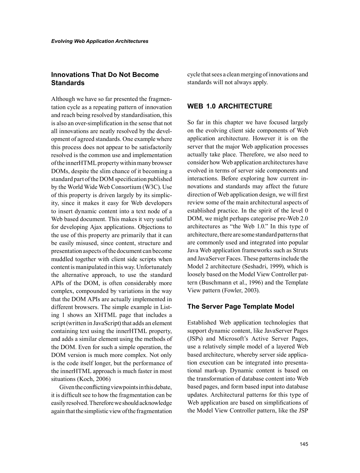# **Innovations That Do Not Become Standards**

Although we have so far presented the fragmentation cycle as a repeating pattern of innovation and reach being resolved by standardisation, this is also an over-simplification in the sense that not all innovations are neatly resolved by the development of agreed standards. One example where this process does not appear to be satisfactorily resolved is the common use and implementation of the innerHTML property within many browser DOMs, despite the slim chance of it becoming a standard part of the DOM specification published by the World Wide Web Consortium (W3C). Use of this property is driven largely by its simplicity, since it makes it easy for Web developers to insert dynamic content into a text node of a Web based document. This makes it very useful for developing Ajax applications. Objections to the use of this property are primarily that it can be easily misused, since content, structure and presentation aspects of the document can become muddled together with client side scripts when content is manipulated in this way. Unfortunately the alternative approach, to use the standard APIs of the DOM, is often considerably more complex, compounded by variations in the way that the DOM APIs are actually implemented in different browsers. The simple example in Listing 1 shows an XHTML page that includes a script (written in JavaScript) that adds an element containing text using the innerHTML property, and adds a similar element using the methods of the DOM. Even for such a simple operation, the DOM version is much more complex. Not only is the code itself longer, but the performance of the innerHTML approach is much faster in most situations (Koch, 2006)

Given the conflicting viewpoints in this debate, it is difficult see to how the fragmentation can be easily resolved. Therefore we should acknowledge again that the simplistic view of the fragmentation cycle that sees a clean merging of innovations and standards will not always apply.

#### **WEB 1.0 ARCHITECTURE**

So far in this chapter we have focused largely on the evolving client side components of Web application architecture. However it is on the server that the major Web application processes actually take place. Therefore, we also need to consider how Web application architectures have evolved in terms of server side components and interactions. Before exploring how current innovations and standards may affect the future direction of Web application design, we will first review some of the main architectural aspects of established practice. In the spirit of the level 0 DOM, we might perhaps categorise pre-Web 2.0 architectures as "the Web 1.0." In this type of architecture, there are some standard patterns that are commonly used and integrated into popular Java Web application frameworks such as Struts and JavaServer Faces. These patterns include the Model 2 architecture (Seshadri, 1999), which is loosely based on the Model View Controller pattern (Buschmann et al., 1996) and the Template View pattern (Fowler, 2003).

#### **The Server Page Template Model**

Established Web application technologies that support dynamic content, like JavaServer Pages (JSPs) and Microsoft's Active Server Pages, use a relatively simple model of a layered Web based architecture, whereby server side application execution can be integrated into presentational mark-up. Dynamic content is based on the transformation of database content into Web based pages, and form based input into database updates. Architectural patterns for this type of Web application are based on simplifications of the Model View Controller pattern, like the JSP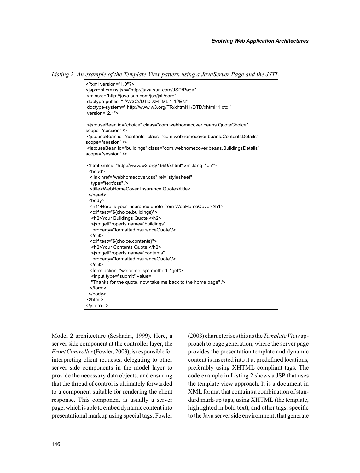*Listing 2. An example of the Template View pattern using a JavaServer Page and the JSTL*

| xml version="1.0"?<br><jsp:root <br="" xmlns:jsp="http://java.sun.com/JSP/Page">xmlns:c="http://java.sun.com/jsp/jstl/core"<br/>doctype-public="-//W3C//DTD XHTML 1.1//EN"<br/>doctype-system=" http://www.w3.org/TR/xhtml11/DTD/xhtml11.dtd "<br/>version="2.1"&gt;</jsp:root>                                                                                    |
|--------------------------------------------------------------------------------------------------------------------------------------------------------------------------------------------------------------------------------------------------------------------------------------------------------------------------------------------------------------------|
| <jsp:usebean <br="" class="com.webhomecover.beans.QuoteChoice" id="choice">scope="session" /&gt;<br/><isp:usebean <br="" class="com.webhomecover.beans.ContentsDetails" id="contents">scope="session" /&gt;<br/><jsp:usebean <br="" class="com.webhomecover.beans.BuildingsDetails" id="buildings">scope="session" /&gt;</jsp:usebean></isp:usebean></jsp:usebean> |
| <html xml:lang="en" xmlns="http://www.w3.org/1999/xhtml"></html>                                                                                                                                                                                                                                                                                                   |
| <head><br/><link <="" href="webhomecover.css" rel="stylesheet" td=""/></head>                                                                                                                                                                                                                                                                                      |
| type="text/css" />                                                                                                                                                                                                                                                                                                                                                 |
| <title>WebHomeCover Insurance Quote</title>                                                                                                                                                                                                                                                                                                                        |
|                                                                                                                                                                                                                                                                                                                                                                    |
| $<$ body $>$                                                                                                                                                                                                                                                                                                                                                       |
| <h1>Here is your insurance quote from WebHomeCover</h1>                                                                                                                                                                                                                                                                                                            |
| <c:if test="\${choice.buildings}"></c:if>                                                                                                                                                                                                                                                                                                                          |
| <h2>Your Buildings Quote:</h2>                                                                                                                                                                                                                                                                                                                                     |
| <jsp:getproperty <br="" name="buildings">property="formattedInsuranceQuote"/&gt;</jsp:getproperty>                                                                                                                                                                                                                                                                 |
| $<$ / $c$ :if>                                                                                                                                                                                                                                                                                                                                                     |
| <c:if test="\${choice.contents}"></c:if>                                                                                                                                                                                                                                                                                                                           |
| <h2>Your Contents Quote:</h2>                                                                                                                                                                                                                                                                                                                                      |
| <jsp:getproperty <="" name="contents" td=""></jsp:getproperty>                                                                                                                                                                                                                                                                                                     |
| property="formattedInsuranceQuote"/>                                                                                                                                                                                                                                                                                                                               |
| $<$ / $c$ :if $>$                                                                                                                                                                                                                                                                                                                                                  |
| <form action="welcome.jsp" method="get"></form>                                                                                                                                                                                                                                                                                                                    |
| <input type="submit" value="&lt;/td"/>                                                                                                                                                                                                                                                                                                                             |
| "Thanks for the quote, now take me back to the home page" />                                                                                                                                                                                                                                                                                                       |
|                                                                                                                                                                                                                                                                                                                                                                    |
| <br>$<$ /html>                                                                                                                                                                                                                                                                                                                                                     |
|                                                                                                                                                                                                                                                                                                                                                                    |
|                                                                                                                                                                                                                                                                                                                                                                    |

Model 2 architecture (Seshadri, 1999). Here, a server side component at the controller layer, the *Front Controller* (Fowler, 2003), is responsible for interpreting client requests, delegating to other server side components in the model layer to provide the necessary data objects, and ensuring that the thread of control is ultimately forwarded to a component suitable for rendering the client response. This component is usually a server page, which is able to embed dynamic content into presentational markup using special tags. Fowler

(2003) characterises this as the *Template View* approach to page generation, where the server page provides the presentation template and dynamic content is inserted into it at predefined locations, preferably using XHTML compliant tags. The code example in Listing 2 shows a JSP that uses the template view approach. It is a document in XML format that contains a combination of standard mark-up tags, using XHTML (the template, highlighted in bold text), and other tags, specific to the Java server side environment, that generate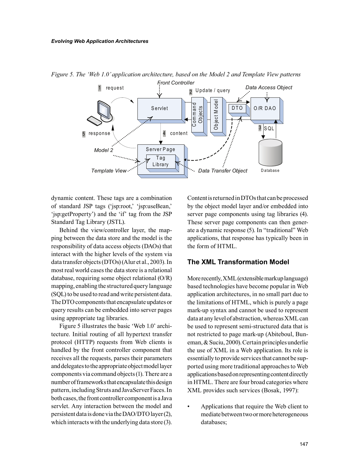

*Figure 5. The 'Web 1.0' application architecture, based on the Model 2 and Template View patterns* 

dynamic content. These tags are a combination of standard JSP tags ('jsp:root,' 'jsp:useBean,' 'jsp:getProperty') and the 'if' tag from the JSP Standard Tag Library (JSTL).

Behind the view/controller layer, the mapping between the data store and the model is the responsibility of data access objects (DAOs) that interact with the higher levels of the system via data transfer objects (DTOs) (Alur et al., 2003). In most real world cases the data store is a relational database, requiring some object relational  $(O/R)$ mapping, enabling the structured query language (SQL) to be used to read and write persistent data. The DTO components that encapsulate updates or query results can be embedded into server pages using appropriate tag libraries.

Figure 5 illustrates the basic 'Web 1.0' architecture. Initial routing of all hypertext transfer protocol (HTTP) requests from Web clients is handled by the front controller component that receives all the requests, parses their parameters and delegates to the appropriate object model layer components via command objects (1). There are a number of frameworks that encapsulate this design pattern, including Struts and JavaServer Faces. In both cases, the front controller component is a Java servlet. Any interaction between the model and persistent data is done via the DAO/DTO layer  $(2)$ , which interacts with the underlying data store (3). Content is returned in DTOs that can be processed by the object model layer and/or embedded into server page components using tag libraries (4). These server page components can then generate a dynamic response (5). In "traditional" Web applications, that response has typically been in the form of HTML.

#### **The XML Transformation Model**

More recently, XML (extensible markup language) based technologies have become popular in Web application architectures, in no small part due to the limitations of HTML, which is purely a page mark-up syntax and cannot be used to represent data at any level of abstraction, whereas XML can be used to represent semi-structured data that is not restricted to page mark-up (Abiteboul, Buneman, & Suciu, 2000). Certain principles underlie the use of XML in a Web application. Its role is essentially to provide services that cannot be supported using more traditional approaches to Web applications based on representing content directly in HTML. There are four broad categories where XML provides such services (Bosak, 1997):

• Applications that require the Web client to mediate between two or more heterogeneous databases: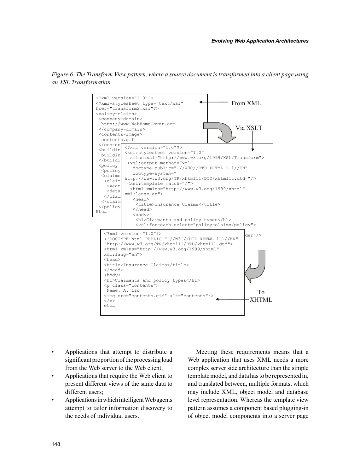

*Figure 6. The Transform View pattern, where a source document is transformed into a client page using*  an XSL Transformation

- Applications that attempt to distribute a significant proportion of the processing load from the Web server to the Web client;
- Applications that require the Web client to present different views of the same data to different users:
- Applications in which intelligent Web agents attempt to tailor information discovery to the needs of individual users.

Meeting these requirements means that a Web application that uses XML needs a more complex server side architecture than the simple template model, and data has to be represented in, and translated between, multiple formats, which may include XML, object model and database level representation. Whereas the template view pattern assumes a component based plugging-in of object model components into a server page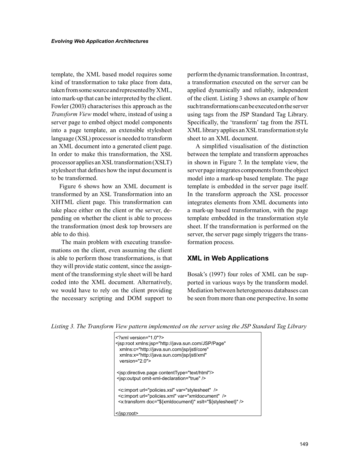template, the XML based model requires some kind of transformation to take place from data, taken from some source and represented by XML, into mark-up that can be interpreted by the client. Fowler (2003) characterises this approach as the *Transform View* model where, instead of using a server page to embed object model components into a page template, an extensible stylesheet language (XSL) processor is needed to transform an XML document into a generated client page. In order to make this transformation, the XSL processor applies an XSL transformation (XSLT) stylesheet that defines how the input document is to be transformed.

Figure 6 shows how an XML document is transformed by an XSL Transformation into an XHTML client page. This transformation can take place either on the client or the server, depending on whether the client is able to process the transformation (most desk top browsers are able to do this).

 The main problem with executing transformations on the client, even assuming the client is able to perform those transformations, is that they will provide static content, since the assignment of the transforming style sheet will be hard coded into the XML document. Alternatively, we would have to rely on the client providing the necessary scripting and DOM support to perform the dynamic transformation. In contrast, a transformation executed on the server can be applied dynamically and reliably, independent of the client. Listing 3 shows an example of how such transformations can be executed on the server using tags from the JSP Standard Tag Library. Specifically, the 'transform' tag from the JSTL XML library applies an XSL transformation style sheet to an XML document.

A simplified visualisation of the distinction between the template and transform approaches in shown in Figure 7. In the template view, the server page integrates components from the object model into a mark-up based template. The page template is embedded in the server page itself. In the transform approach the XSL processor integrates elements from XML documents into a mark-up based transformation, with the page template embedded in the transformation style sheet. If the transformation is performed on the server, the server page simply triggers the transformation process.

## **XML in Web Applications**

Bosak's (1997) four roles of XML can be supported in various ways by the transform model. Mediation between heterogeneous databases can be seen from more than one perspective. In some

*Listing 3. The Transform View pattern implemented on the server using the JSP Standard Tag Library*

| xml version="1.0"?<br><isp:root <br="" xmlns:jsp="http://java.sun.com/JSP/Page">xmlns:c="http://java.sun.com/jsp/jstl/core"<br/>xmlns:x="http://java.sun.com/jsp/jstl/xml"<br/>version="2.0"&gt;</isp:root> |  |
|-------------------------------------------------------------------------------------------------------------------------------------------------------------------------------------------------------------|--|
| <isp:directive.page contenttype="text/html"></isp:directive.page><br><isp:output omit-xml-declaration="true"></isp:output>                                                                                  |  |
| <c:import url="policies.xsl" var="stylesheet"></c:import><br><c:import url="policies.xml" var="xmldocument"></c:import><br><x:transform doc="\${xmldocument}" xslt="\${stylesheet}"></x:transform>          |  |
|                                                                                                                                                                                                             |  |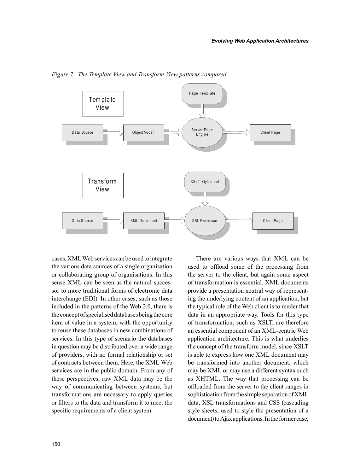

*Figure 7. The Template View and Transform View patterns compared*

cases, XML Web services can be used to integrate the various data sources of a single organisation or collaborating group of organisations. In this sense XML can be seen as the natural successor to more traditional forms of electronic data interchange (EDI). In other cases, such as those included in the patterns of the Web 2.0, there is the concept of specialised databases being the core item of value in a system, with the opportunity to reuse these databases in new combinations of services. In this type of scenario the databases in question may be distributed over a wide range of providers, with no formal relationship or set of contracts between them. Here, the XML Web services are in the public domain. From any of these perspectives, raw XML data may be the way of communicating between systems, but transformations are necessary to apply queries or filters to the data and transform it to meet the specific requirements of a client system.

There are various ways that XML can be used to offload some of the processing from the server to the client, but again some aspect of transformation is essential. XML documents provide a presentation neutral way of representing the underlying content of an application, but the typical role of the Web client is to render that data in an appropriate way. Tools for this type of transformation, such as XSLT, are therefore an essential component of an XML-centric Web application architecture. This is what underlies the concept of the transform model, since XSLT is able to express how one XML document may be transformed into another document, which may be XML or may use a different syntax such as XHTML. The way that processing can be offloaded from the server to the client ranges in sophistication from the simple separation of XML data, XSL transformations and CSS (cascading style sheets, used to style the presentation of a document) to Ajax applications. In the former case,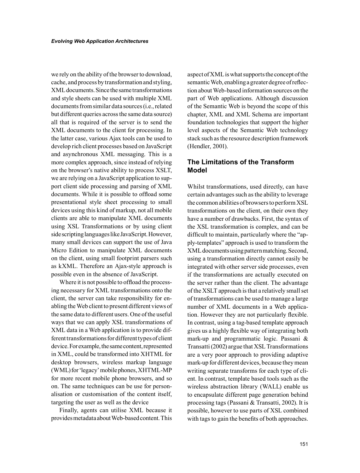we rely on the ability of the browser to download, cache, and process by transformation and styling, XML documents. Since the same transformations and style sheets can be used with multiple XML documents from similar data sources (i.e., related but different queries across the same data source) all that is required of the server is to send the XML documents to the client for processing. In the latter case, various Ajax tools can be used to develop rich client processes based on JavaScript and asynchronous XML messaging. This is a more complex approach, since instead of relying on the browser's native ability to process XSLT, we are relying on a JavaScript application to support client side processing and parsing of XML documents. While it is possible to offload some presentational style sheet processing to small devices using this kind of markup, not all mobile clients are able to manipulate XML documents using XSL Transformations or by using client side scripting languages like JavaScript. However, many small devices can support the use of Java Micro Edition to manipulate XML documents on the client, using small footprint parsers such as kXML. Therefore an Ajax-style approach is possible even in the absence of JavaScript.

Where it is not possible to offload the processing necessary for XML transformations onto the client, the server can take responsibility for enabling the Web client to present different views of the same data to different users. One of the useful ways that we can apply XSL transformations of XML data in a Web application is to provide different transformations for different types of client device. For example, the same content, represented in XML, could be transformed into XHTML for desktop browsers, wireless markup language (WML) for 'legacy' mobile phones, XHTML-MP for more recent mobile phone browsers, and so on. The same techniques can be use for personalisation or customisation of the content itself, targeting the user as well as the device

Finally, agents can utilise XML because it provides metadata about Web-based content. This aspect of XML is what supports the concept of the semantic Web, enabling a greater degree of reflection about Web-based information sources on the part of Web applications. Although discussion of the Semantic Web is beyond the scope of this chapter, XML and XML Schema are important foundation technologies that support the higher level aspects of the Semantic Web technology stack such as the resource description framework (Hendler, 2001).

# **The Limitations of the Transform Model**

Whilst transformations, used directly, can have certain advantages such as the ability to leverage the common abilities of browsers to perform XSL transformations on the client, on their own they have a number of drawbacks. First, the syntax of the XSL transformation is complex, and can be difficult to maintain, particularly where the "apply-templates" approach is used to transform the XML documents using pattern matching. Second, using a transformation directly cannot easily be integrated with other server side processes, even if the transformations are actually executed on the server rather than the client. The advantage of the XSLT approach is that a relatively small set of transformations can be used to manage a large number of XML documents in a Web application. However they are not particularly flexible. In contrast, using a tag-based template approach gives us a highly flexible way of integrating both mark-up and programmatic logic. Passani & Transatti (2002) argue that XSL Transformations are a very poor approach to providing adaptive mark-up for different devices, because they mean writing separate transforms for each type of client. In contrast, template based tools such as the wireless abstraction library (WALL) enable us to encapsulate different page generation behind processing tags (Passani & Transatti, 2002). It is possible, however to use parts of XSL combined with tags to gain the benefits of both approaches.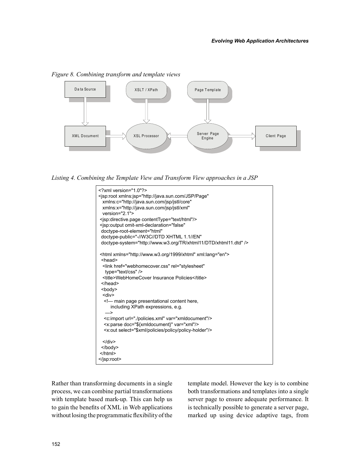

*Figure 8. Combining transform and template views*

*Listing 4. Combining the Template View and Transform View approaches in a JSP*

| $\leq$ ?xml version="1.0"?><br><jsp:root <br="" xmlns:jsp="http://java.sun.com/JSP/Page">xmlns:c="http://java.sun.com/jsp/jstl/core"<br/>xmlns:x="http://java.sun.com/jsp/jstl/xml"<br/><math>version="2.1"&gt;</math><br/><isp:directive.page contenttype="text/html"></isp:directive.page><br/><jsp:output <br="" omit-xml-declaration="false">doctype-root-element="html"<br/>doctype-public="-//W3C//DTD XHTML 1.1//EN"<br/>doctype-system="http://www.w3.org/TR/xhtml11/DTD/xhtml11.dtd" /&gt;</jsp:output></jsp:root> |
|-----------------------------------------------------------------------------------------------------------------------------------------------------------------------------------------------------------------------------------------------------------------------------------------------------------------------------------------------------------------------------------------------------------------------------------------------------------------------------------------------------------------------------|
| <html xml:lang="en" xmlns="http://www.w3.org/1999/xhtml"><br/><head><br/><link <br="" href="webhomecover.css" rel="stylesheet"/>type="text/css" /&gt;<br/><title>WebHomeCover Insurance Policies</title><br/><math>&lt;</math>/head&gt;<br/><body><br/><div></div></body></head></html>                                                                                                                                                                                                                                     |
| - main page presentational content here,<br including XPath expressions, e.g.<br>$\rightarrow$<br><c:import url="./policies.xml" var="xmldocument"></c:import><br><x:parse doc="\${xmldocument}" var="xml"></x:parse><br><x:out select="\$xml/policies/policy/policy-holder"></x:out>                                                                                                                                                                                                                                       |
| $\langle$ div><br>$<$ /body><br>$<$ /html><br>                                                                                                                                                                                                                                                                                                                                                                                                                                                                              |

Rather than transforming documents in a single process, we can combine partial transformations with template based mark-up. This can help us to gain the benefits of XML in Web applications without losing the programmatic flexibility of the template model. However the key is to combine both transformations and templates into a single server page to ensure adequate performance. It is technically possible to generate a server page, marked up using device adaptive tags, from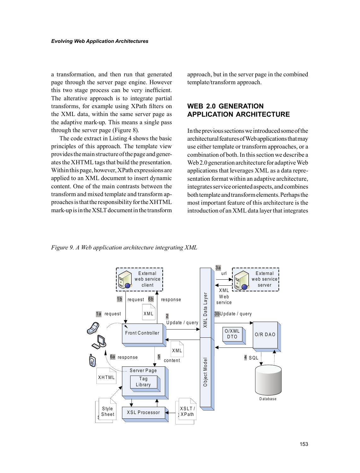a transformation, and then run that generated page through the server page engine. However this two stage process can be very inefficient. The alterative approach is to integrate partial transforms, for example using XPath filters on the XML data, within the same server page as the adaptive mark-up. This means a single pass through the server page (Figure 8).

The code extract in Listing 4 shows the basic principles of this approach. The template view provides the main structure of the page and generates the XHTML tags that build the presentation. Within this page, however, XPath expressions are applied to an XML document to insert dynamic content. One of the main contrasts between the transform and mixed template and transform approaches is that the responsibility for the XHTML mark-up is in the XSLT document in the transform approach, but in the server page in the combined template/transform approach.

# **WEB 2.0 GENERATION APPLICATION ARCHITECTURE**

In the previous sections we introduced some of the architectural features of Web applications that may use either template or transform approaches, or a combination of both. In this section we describe a Web 2.0 generation architecture for adaptive Web applications that leverages XML as a data representation format within an adaptive architecture, integrates service oriented aspects, and combines both template and transform elements. Perhaps the most important feature of this architecture is the introduction of an XML data layer that integrates

*Figure 9. A Web application architecture integrating XML* 

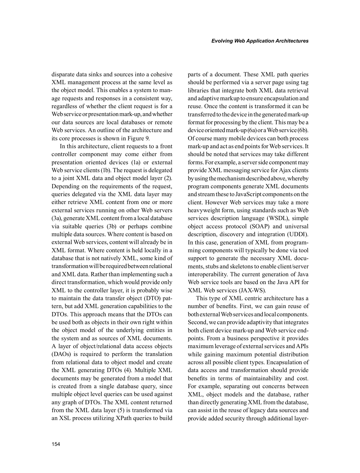disparate data sinks and sources into a cohesive XML management process at the same level as the object model. This enables a system to manage requests and responses in a consistent way, regardless of whether the client request is for a Web service or presentation mark-up, and whether our data sources are local databases or remote Web services. An outline of the architecture and its core processes is shown in Figure 9.

In this architecture, client requests to a front controller component may come either from presentation oriented devices (1a) or external Web service clients (1b). The request is delegated to a joint XML data and object model layer (2). Depending on the requirements of the request, queries delegated via the XML data layer may either retrieve XML content from one or more external services running on other Web servers (3a), generate XML content from a local database via suitable queries (3b) or perhaps combine multiple data sources. Where content is based on external Web services, content will already be in XML format. Where content is held locally in a database that is not natively XML, some kind of transformation will be required between relational and XML data. Rather than implementing such a direct transformation, which would provide only XML to the controller layer, it is probably wise to maintain the data transfer object (DTO) pattern, but add XML generation capabilities to the DTOs. This approach means that the DTOs can be used both as objects in their own right within the object model of the underlying entities in the system and as sources of XML documents. A layer of object/relational data access objects (DAOs) is required to perform the translation from relational data to object model and create the XML generating DTOs (4). Multiple XML documents may be generated from a model that is created from a single database query, since multiple object level queries can be used against any graph of DTOs. The XML content returned from the XML data layer (5) is transformed via an XSL process utilizing XPath queries to build parts of a document. These XML path queries should be performed via a server page using tag libraries that integrate both XML data retrieval and adaptive markup to ensure encapsulation and reuse. Once the content is transformed it can be transferred to the device in the generated mark-up format for processing by the client. This may be a device oriented mark-up (6a) or a Web service (6b). Of course many mobile devices can both process mark-up and act as end points for Web services. It should be noted that services may take different forms. For example, a server side component may provide XML messaging service for Ajax clients by using the mechanism described above, whereby program components generate XML documents and stream these to JavaScript components on the client. However Web services may take a more heavyweight form, using standards such as Web services description language (WSDL), simple object access protocol (SOAP) and universal description, discovery and integration (UDDI). In this case, generation of XML from programming components will typically be done via tool support to generate the necessary XML documents, stubs and skeletons to enable client/server interoperability. The current generation of Java Web service tools are based on the Java API for XML Web services (JAX-WS).

This type of XML centric architecture has a number of benefits. First, we can gain reuse of both external Web services and local components. Second, we can provide adaptivity that integrates both client device mark-up and Web service endpoints. From a business perspective it provides maximum leverage of external services and APIs while gaining maximum potential distribution across all possible client types. Encapsulation of data access and transformation should provide benefits in terms of maintainability and cost. For example, separating out concerns between XML, object models and the database, rather than directly generating XML from the database, can assist in the reuse of legacy data sources and provide added security through additional layer-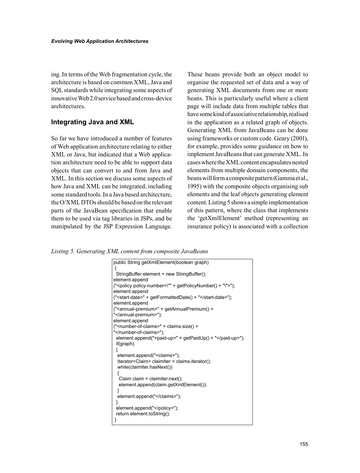ing. In terms of the Web fragmentation cycle, the architecture is based on common XML, Java and SQL standards while integrating some aspects of innovative Web 2.0 service based and cross-device architectures.

# **Integrating Java and XML**

So far we have introduced a number of features of Web application architecture relating to either XML or Java, but indicated that a Web application architecture need to be able to support data objects that can convert to and from Java and XML. In this section we discuss some aspects of how Java and XML can be integrated, including some standard tools. In a Java based architecture, the  $O/XML$  DTOs should be based on the relevant parts of the JavaBean specification that enable them to be used via tag libraries in JSPs, and be manipulated by the JSP Expression Language. These beans provide both an object model to organise the requested set of data and a way of generating XML documents from one or more beans. This is particularly useful where a client page will include data from multiple tables that have some kind of associative relationship, realised in the application as a related graph of objects. Generating XML from JavaBeans can be done using frameworks or custom code. Geary (2001), for example, provides some guidance on how to implement JavaBeans that can generate XML. In cases where the XML content encapsulates nested elements from multiple domain components, the beans will form a composite pattern (Gamma et al., 1995) with the composite objects organising sub elements and the leaf objects generating element content. Listing 5 shows a simple implementation of this pattern, where the class that implements the 'getXmlElement' method (representing an insurance policy) is associated with a collection

*Listing 5. Generating XML content from composite JavaBeans* 

| public String getXmlElement(boolean graph)                                   |
|------------------------------------------------------------------------------|
| ₹                                                                            |
| StringBuffer element = new StringBuffer();                                   |
| element.append                                                               |
| (" <policy "\"="" +="" getpolicynumber()="" policy-number='\""'>");</policy> |
| element.append                                                               |
| (" <start-date>" + getFormattedDate() + "</start-date> ");                   |
| element.append                                                               |
| (" <annual-premium>" + getAnnualPremium() +<br/>"</annual-premium> ");       |
| element.append                                                               |
| (" <number-of-claims>" + claims.size() +</number-of-claims>                  |
| "");                                                                         |
| element.append(" <paid-up>" + getPaidUp() + "</paid-up> ");                  |
| if(graph)                                                                    |
| ₹                                                                            |
| element.append(" <claims>");</claims>                                        |
| Iterator <claim> claimIter = claims.iterator();</claim>                      |
| while(claimIter.hasNext())                                                   |
| ſ<br>Claim claim = claimiter.next();                                         |
| element.append(claim.getXmlElement());                                       |
| ł                                                                            |
| element.append("");                                                          |
|                                                                              |
| element.append("");                                                          |
| return element toString();                                                   |
| ł                                                                            |
|                                                                              |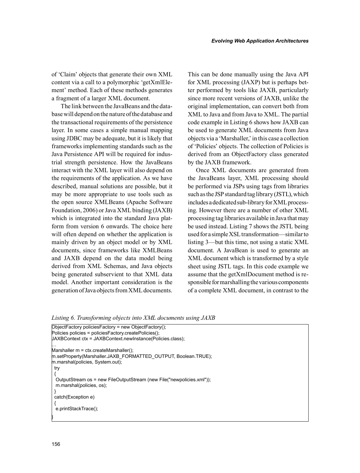of 'Claim' objects that generate their own XML content via a call to a polymorphic 'getXmlElement' method. Each of these methods generates a fragment of a larger XML document.

 The link between the JavaBeans and the database will depend on the nature of the database and the transactional requirements of the persistence layer. In some cases a simple manual mapping using JDBC may be adequate, but it is likely that frameworks implementing standards such as the Java Persistence API will be required for industrial strength persistence. How the JavaBeans interact with the XML layer will also depend on the requirements of the application. As we have described, manual solutions are possible, but it may be more appropriate to use tools such as the open source XMLBeans (Apache Software Foundation, 2006) or Java XML binding (JAXB) which is integrated into the standard Java platform from version 6 onwards. The choice here will often depend on whether the application is mainly driven by an object model or by XML documents, since frameworks like XMLBeans and JAXB depend on the data model being derived from XML Schemas, and Java objects being generated subservient to that XML data model. Another important consideration is the generation of Java objects from XML documents.

This can be done manually using the Java API for XML processing (JAXP) but is perhaps better performed by tools like JAXB, particularly since more recent versions of JAXB, unlike the original implementation, can convert both from XML to Java and from Java to XML. The partial code example in Listing 6 shows how JAXB can be used to generate XML documents from Java objects via a 'Marshaller,' in this case a collection of 'Policies' objects. The collection of Policies is derived from an ObjectFactory class generated by the JAXB framework.

Once XML documents are generated from the JavaBeans layer, XML processing should be performed via JSPs using tags from libraries such as the JSP standard tag library (JSTL), which includes a dedicated sub-library for XML processing. However there are a number of other XML processing tag libraries available in Java that may be used instead. Listing 7 shows the JSTL being used for a simple XSL transformation—similar to listing 3—but this time, not using a static XML document. A JavaBean is used to generate an XML document which is transformed by a style sheet using JSTL tags. In this code example we assume that the getXmlDocument method is responsible for marshalling the various components of a complete XML document, in contrast to the

*Listing 6. Transforming objects into XML documents using JAXB* 

|                                  | ObjectFactory policiesFactory = new ObjectFactory();       |                                                                       |  |
|----------------------------------|------------------------------------------------------------|-----------------------------------------------------------------------|--|
|                                  | Policies policies = policiesFactory.createPolicies();      |                                                                       |  |
|                                  | JAXBContext ctx = JAXBContext.newInstance(Policies.class); |                                                                       |  |
|                                  |                                                            |                                                                       |  |
|                                  | Marshaller m = ctx.createMarshaller();                     |                                                                       |  |
|                                  |                                                            | m.setProperty(Marshaller.JAXB FORMATTED OUTPUT, Boolean.TRUE);        |  |
| m.marshal(policies, System.out); |                                                            |                                                                       |  |
| try                              |                                                            |                                                                       |  |
|                                  |                                                            |                                                                       |  |
|                                  |                                                            | OutputStream os = new FileOutputStream (new File("newpolicies.xml")); |  |
| m.marshal(policies, os);         |                                                            |                                                                       |  |
|                                  |                                                            |                                                                       |  |
| catch(Exception e)               |                                                            |                                                                       |  |
|                                  |                                                            |                                                                       |  |
| e.printStackTrace();             |                                                            |                                                                       |  |
|                                  |                                                            |                                                                       |  |
|                                  |                                                            |                                                                       |  |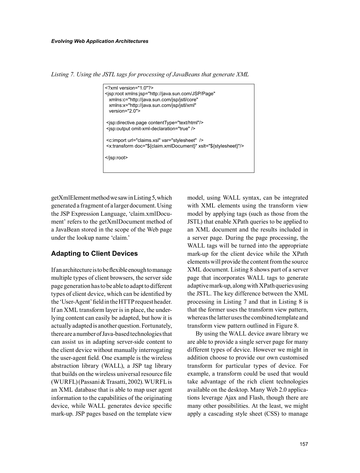#### **Evolving Web Application Architectures**

*Listing 7. Using the JSTL tags for processing of JavaBeans that generate XML* 

| $\leq$ ?xml version="1.0"?><br><isp:root <br="" xmlns:jsp="http://java.sun.com/JSP/Page">xmlns:c="http://java.sun.com/jsp/jstl/core"<br/>xmlns:x="http://java.sun.com/jsp/jstl/xml"<br/><math>version="2.0"&gt;</math></isp:root> |
|-----------------------------------------------------------------------------------------------------------------------------------------------------------------------------------------------------------------------------------|
| <isp:directive.page contenttype="text/html"></isp:directive.page><br><isp:output omit-xml-declaration="true"></isp:output>                                                                                                        |
| <c:import url="claims.xsl" var="stylesheet"></c:import><br><x:transform doc="\${claim.xmlDocument}" xslt="\${stylesheet}"></x:transform>                                                                                          |
| $<$ /jsp:root>                                                                                                                                                                                                                    |

getXmlElement method we saw in Listing 5, which generated a fragment of a larger document. Using the JSP Expression Language, 'claim.xmlDocument' refers to the getXmlDocument method of a JavaBean stored in the scope of the Web page under the lookup name 'claim.'

#### **Adapting to Client Devices**

If an architecture is to be flexible enough to manage multiple types of client browsers, the server side page generation has to be able to adapt to different types of client device, which can be identified by the 'User-Agent' field in the HTTP request header. If an XML transform layer is in place, the underlying content can easily be adapted, but how it is actually adapted is another question. Fortunately, there are a number of Java-based technologies that can assist us in adapting server-side content to the client device without manually interrogating the user-agent field. One example is the wireless abstraction library (WALL), a JSP tag library that builds on the wireless universal resource file (WURFL) (Passani & Trasatti, 2002). WURFL is an XML database that is able to map user agent information to the capabilities of the originating device, while WALL generates device specific mark-up. JSP pages based on the template view model, using WALL syntax, can be integrated with XML elements using the transform view model by applying tags (such as those from the JSTL) that enable XPath queries to be applied to an XML document and the results included in a server page. During the page processing, the WALL tags will be turned into the appropriate mark-up for the client device while the XPath elements will provide the content from the source XML document. Listing 8 shows part of a server page that incorporates WALL tags to generate adaptive mark-up, along with XPath queries using the JSTL. The key difference between the XML processing in Listing 7 and that in Listing 8 is that the former uses the transform view pattern, whereas the latter uses the combined template and transform view pattern outlined in Figure 8.

By using the WALL device aware library we are able to provide a single server page for many different types of device. However we might in addition choose to provide our own customised transform for particular types of device. For example, a transform could be used that would take advantage of the rich client technologies available on the desktop. Many Web 2.0 applications leverage Ajax and Flash, though there are many other possibilities. At the least, we might apply a cascading style sheet (CSS) to manage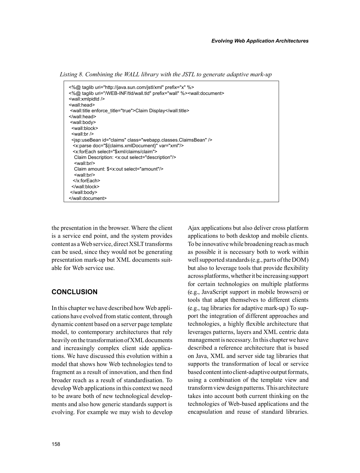Listing 8. Combining the WALL library with the JSTL to generate adaptive mark-up

| <%@ taglib uri="http://java.sun.com/jstl/xml" prefix="x" %><br><%@ taqlib uri="/WEB-INF/tld/wall.tld" prefix="wall" %> <wall:document><br/><wall:xmlpidtd></wall:xmlpidtd><br/><wall:head></wall:head></wall:document> |
|------------------------------------------------------------------------------------------------------------------------------------------------------------------------------------------------------------------------|
| <wall:title enforce="" title="true">Claim Display</wall:title>                                                                                                                                                         |
|                                                                                                                                                                                                                        |
| <wall:body></wall:body>                                                                                                                                                                                                |
| <wall:block></wall:block>                                                                                                                                                                                              |
| $\le$ wall: br />                                                                                                                                                                                                      |
| <isp:usebean class="webapp.classes.ClaimsBean" id="claims"></isp:usebean>                                                                                                                                              |
| <x:parse doc="\${claims.xmlDocument}" var="xml"></x:parse>                                                                                                                                                             |
| <x:foreach select="\$xml/claims/claim"></x:foreach>                                                                                                                                                                    |
| Claim Description: <x:out select="description"></x:out>                                                                                                                                                                |
| <wall:br></wall:br>                                                                                                                                                                                                    |
| Claim amount: \$ <x:out select="amount"></x:out>                                                                                                                                                                       |
| $\le$ wall:br/>                                                                                                                                                                                                        |
|                                                                                                                                                                                                                        |
|                                                                                                                                                                                                                        |
|                                                                                                                                                                                                                        |
|                                                                                                                                                                                                                        |

the presentation in the browser. Where the client is a service end point, and the system provides content as a Web service, direct XSLT transforms can be used, since they would not be generating presentation mark-up but XML documents suitable for Web service use.

## **CONCLUSION**

In this chapter we have described how Web applications have evolved from static content, through dynamic content based on a server page template model, to contemporary architectures that rely heavily on the transformation of XML documents and increasingly complex client side applications. We have discussed this evolution within a model that shows how Web technologies tend to fragment as a result of innovation, and then find broader reach as a result of standardisation. To develop Web applications in this context we need to be aware both of new technological developments and also how generic standards support is evolving. For example we may wish to develop

Ajax applications but also deliver cross platform applications to both desktop and mobile clients. To be innovative while broadening reach as much as possible it is necessary both to work within well supported standards (e.g., parts of the DOM) but also to leverage tools that provide flexibility across platforms, whether it be increasing support for certain technologies on multiple platforms (e.g., JavaScript support in mobile browsers) or tools that adapt themselves to different clients (e.g., tag libraries for adaptive mark-up.) To support the integration of different approaches and technologies, a highly flexible architecture that leverages patterns, layers and XML centric data management is necessary. In this chapter we have described a reference architecture that is based on Java, XML and server side tag libraries that supports the transformation of local or service based content into client-adaptive output formats, using a combination of the template view and transform view design patterns. This architecture takes into account both current thinking on the technologies of Web-based applications and the encapsulation and reuse of standard libraries.